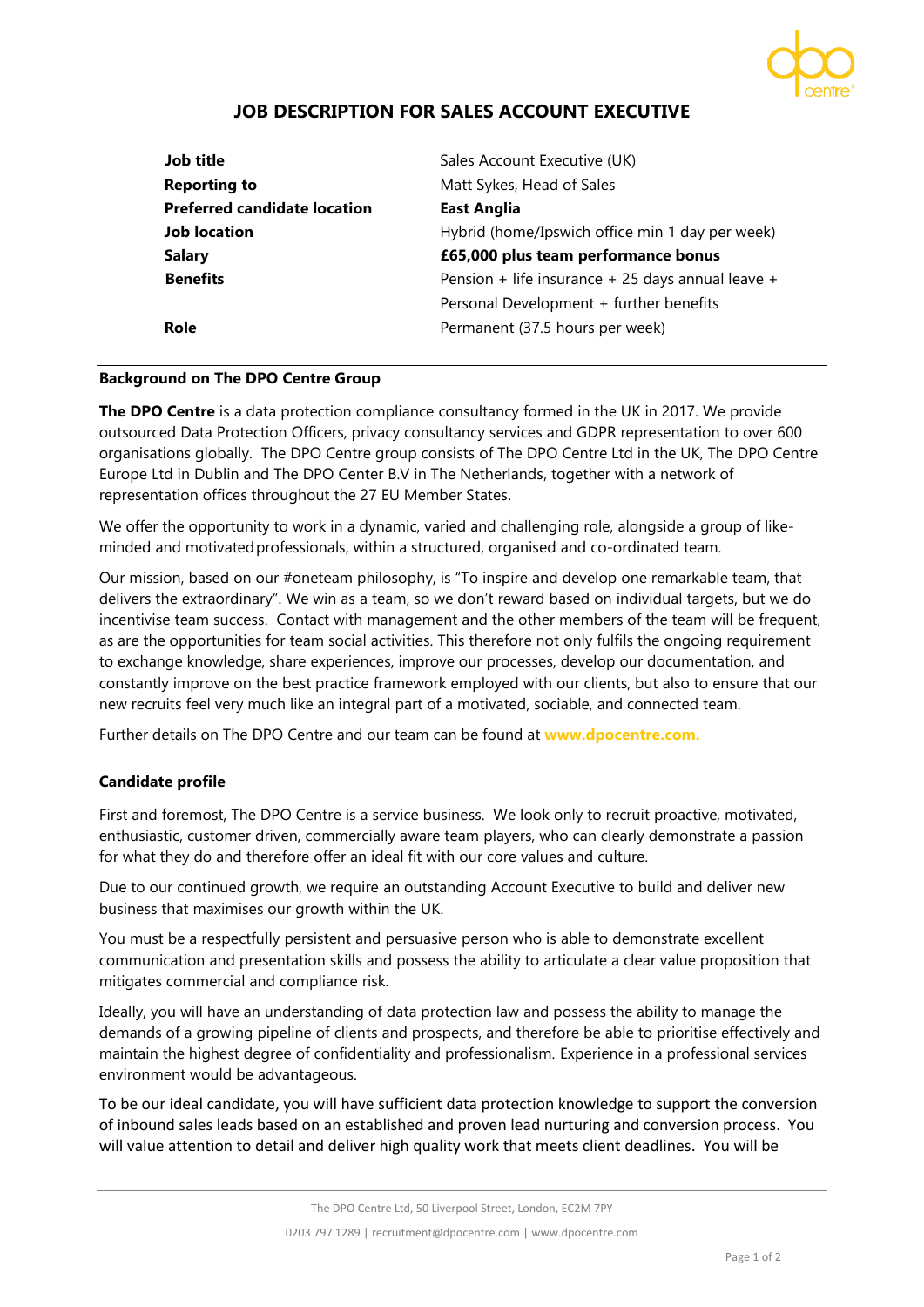

# **JOB DESCRIPTION FOR SALES ACCOUNT EXECUTIVE**

| Job title                           | Sales Account Executive (UK)                      |
|-------------------------------------|---------------------------------------------------|
| <b>Reporting to</b>                 | Matt Sykes, Head of Sales                         |
| <b>Preferred candidate location</b> | <b>East Anglia</b>                                |
| <b>Job location</b>                 | Hybrid (home/Ipswich office min 1 day per week)   |
| <b>Salary</b>                       | £65,000 plus team performance bonus               |
| <b>Benefits</b>                     | Pension + life insurance + 25 days annual leave + |
|                                     | Personal Development + further benefits           |
| Role                                | Permanent (37.5 hours per week)                   |

### **Background on The DPO Centre Group**

**The DPO Centre** is a data protection compliance consultancy formed in the UK in 2017. We provide outsourced Data Protection Officers, privacy consultancy services and GDPR representation to over 600 organisations globally. The DPO Centre group consists of The DPO Centre Ltd in the UK, The DPO Centre Europe Ltd in Dublin and The DPO Center B.V in The Netherlands, together with a network of representation offices throughout the 27 EU Member States.

We offer the opportunity to work in a dynamic, varied and challenging role, alongside a group of likeminded and motivatedprofessionals, within a structured, organised and co-ordinated team.

Our mission, based on our #oneteam philosophy, is "To inspire and develop one remarkable team, that delivers the extraordinary". We win as a team, so we don't reward based on individual targets, but we do incentivise team success. Contact with management and the other members of the team will be frequent, as are the opportunities for team social activities. This therefore not only fulfils the ongoing requirement to exchange knowledge, share experiences, improve our processes, develop our documentation, and constantly improve on the best practice framework employed with our clients, but also to ensure that our new recruits feel very much like an integral part of a motivated, sociable, and connected team.

Further details on The DPO Centre and our team can be found at **[www.dpocentre.com.](http://www.dpocentre.com/)**

# **Candidate profile**

First and foremost, The DPO Centre is a service business. We look only to recruit proactive, motivated, enthusiastic, customer driven, commercially aware team players, who can clearly demonstrate a passion for what they do and therefore offer an ideal fit with our core values and culture.

Due to our continued growth, we require an outstanding Account Executive to build and deliver new business that maximises our growth within the UK.

You must be a respectfully persistent and persuasive person who is able to demonstrate excellent communication and presentation skills and possess the ability to articulate a clear value proposition that mitigates commercial and compliance risk.

Ideally, you will have an understanding of data protection law and possess the ability to manage the demands of a growing pipeline of clients and prospects, and therefore be able to prioritise effectively and maintain the highest degree of confidentiality and professionalism. Experience in a professional services environment would be advantageous.

To be our ideal candidate, you will have sufficient data protection knowledge to support the conversion of inbound sales leads based on an established and proven lead nurturing and conversion process. You will value attention to detail and deliver high quality work that meets client deadlines. You will be